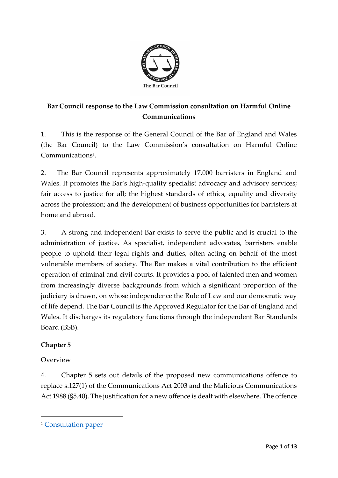

# **Bar Council response to the Law Commission consultation on Harmful Online Communications**

1. This is the response of the General Council of the Bar of England and Wales (the Bar Council) to the Law Commission's consultation on Harmful Online Communications<sup>1</sup>.

2. The Bar Council represents approximately 17,000 barristers in England and Wales. It promotes the Bar's high-quality specialist advocacy and advisory services; fair access to justice for all; the highest standards of ethics, equality and diversity across the profession; and the development of business opportunities for barristers at home and abroad.

3. A strong and independent Bar exists to serve the public and is crucial to the administration of justice. As specialist, independent advocates, barristers enable people to uphold their legal rights and duties, often acting on behalf of the most vulnerable members of society. The Bar makes a vital contribution to the efficient operation of criminal and civil courts. It provides a pool of talented men and women from increasingly diverse backgrounds from which a significant proportion of the judiciary is drawn, on whose independence the Rule of Law and our democratic way of life depend. The Bar Council is the Approved Regulator for the Bar of England and Wales. It discharges its regulatory functions through the independent Bar Standards Board (BSB).

### **Chapter 5**

Overview

4. Chapter 5 sets out details of the proposed new communications offence to replace s.127(1) of the Communications Act 2003 and the Malicious Communications Act 1988 (§5.40). The justification for a new offence is dealt with elsewhere. The offence

<sup>&</sup>lt;sup>1</sup> [Consultation paper](https://s3-eu-west-2.amazonaws.com/lawcom-prod-storage-11jsxou24uy7q/uploads/2020/09/Online-Communications-Consultation-Paper-FINAL-with-cover.pdf)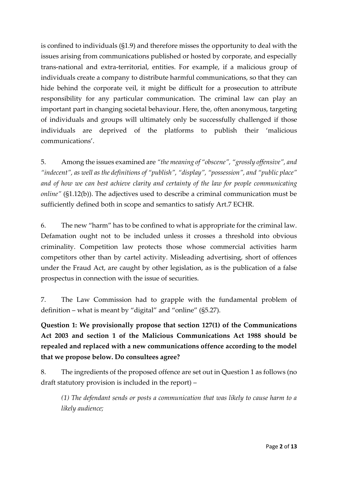is confined to individuals (§1.9) and therefore misses the opportunity to deal with the issues arising from communications published or hosted by corporate, and especially trans-national and extra-territorial, entities. For example, if a malicious group of individuals create a company to distribute harmful communications, so that they can hide behind the corporate veil, it might be difficult for a prosecution to attribute responsibility for any particular communication. The criminal law can play an important part in changing societal behaviour. Here, the, often anonymous, targeting of individuals and groups will ultimately only be successfully challenged if those individuals are deprived of the platforms to publish their 'malicious communications'.

5. Among the issues examined are *"the meaning of "obscene", "grossly offensive", and "indecent", as well as the definitions of "publish", "display", "possession", and "public place" and of how we can best achieve clarity and certainty of the law for people communicating online"* (§1.12(b)). The adjectives used to describe a criminal communication must be sufficiently defined both in scope and semantics to satisfy Art.7 ECHR.

6. The new "harm" has to be confined to what is appropriate for the criminal law. Defamation ought not to be included unless it crosses a threshold into obvious criminality. Competition law protects those whose commercial activities harm competitors other than by cartel activity. Misleading advertising, short of offences under the Fraud Act, are caught by other legislation, as is the publication of a false prospectus in connection with the issue of securities.

7. The Law Commission had to grapple with the fundamental problem of definition – what is meant by "digital" and "online" (§5.27).

**Question 1: We provisionally propose that section 127(1) of the Communications Act 2003 and section 1 of the Malicious Communications Act 1988 should be repealed and replaced with a new communications offence according to the model that we propose below. Do consultees agree?** 

8. The ingredients of the proposed offence are set out in Question 1 as follows (no draft statutory provision is included in the report) –

*(1) The defendant sends or posts a communication that was likely to cause harm to a likely audience;*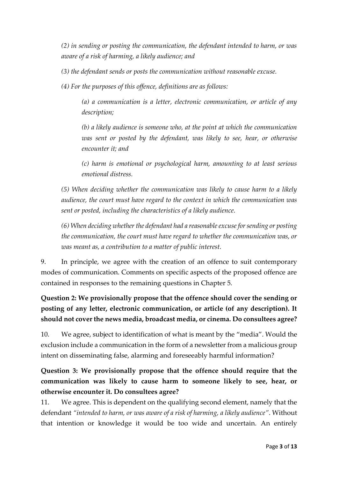*(2) in sending or posting the communication, the defendant intended to harm, or was aware of a risk of harming, a likely audience; and*

*(3) the defendant sends or posts the communication without reasonable excuse.*

*(4) For the purposes of this offence, definitions are as follows:*

*(a) a communication is a letter, electronic communication, or article of any description;*

*(b) a likely audience is someone who, at the point at which the communication was sent or posted by the defendant, was likely to see, hear, or otherwise encounter it; and*

*(c) harm is emotional or psychological harm, amounting to at least serious emotional distress.*

*(5) When deciding whether the communication was likely to cause harm to a likely audience, the court must have regard to the context in which the communication was sent or posted, including the characteristics of a likely audience.*

*(6) When deciding whether the defendant had a reasonable excuse for sending or posting the communication, the court must have regard to whether the communication was, or was meant as, a contribution to a matter of public interest.*

9. In principle, we agree with the creation of an offence to suit contemporary modes of communication. Comments on specific aspects of the proposed offence are contained in responses to the remaining questions in Chapter 5.

**Question 2: We provisionally propose that the offence should cover the sending or posting of any letter, electronic communication, or article (of any description). It should not cover the news media, broadcast media, or cinema. Do consultees agree?** 

10. We agree, subject to identification of what is meant by the "media". Would the exclusion include a communication in the form of a newsletter from a malicious group intent on disseminating false, alarming and foreseeably harmful information?

# **Question 3: We provisionally propose that the offence should require that the communication was likely to cause harm to someone likely to see, hear, or otherwise encounter it. Do consultees agree?**

11. We agree. This is dependent on the qualifying second element, namely that the defendant *"intended to harm, or was aware of a risk of harming, a likely audience"*. Without that intention or knowledge it would be too wide and uncertain. An entirely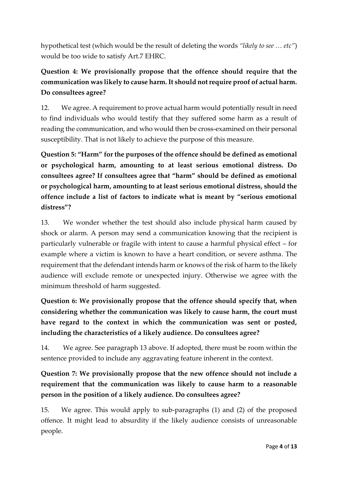hypothetical test (which would be the result of deleting the words *"likely to see … etc"*) would be too wide to satisfy Art.7 EHRC.

# **Question 4: We provisionally propose that the offence should require that the communication was likely to cause harm. It should not require proof of actual harm. Do consultees agree?**

12. We agree. A requirement to prove actual harm would potentially result in need to find individuals who would testify that they suffered some harm as a result of reading the communication, and who would then be cross-examined on their personal susceptibility. That is not likely to achieve the purpose of this measure.

Question 5: "Harm" for the purposes of the offence should be defined as emotional **or psychological harm, amounting to at least serious emotional distress. Do consultees agree? If consultees agree that "harm" should be defined as emotional or psychological harm, amounting to at least serious emotional distress, should the offence include a list of factors to indicate what is meant by "serious emotional distress"?** 

13. We wonder whether the test should also include physical harm caused by shock or alarm. A person may send a communication knowing that the recipient is particularly vulnerable or fragile with intent to cause a harmful physical effect – for example where a victim is known to have a heart condition, or severe asthma. The requirement that the defendant intends harm or knows of the risk of harm to the likely audience will exclude remote or unexpected injury. Otherwise we agree with the minimum threshold of harm suggested.

**Question 6: We provisionally propose that the offence should specify that, when considering whether the communication was likely to cause harm, the court must have regard to the context in which the communication was sent or posted, including the characteristics of a likely audience. Do consultees agree?** 

14. We agree. See paragraph 13 above. If adopted, there must be room within the sentence provided to include any aggravating feature inherent in the context.

# **Question 7: We provisionally propose that the new offence should not include a requirement that the communication was likely to cause harm to a reasonable person in the position of a likely audience. Do consultees agree?**

15. We agree. This would apply to sub-paragraphs (1) and (2) of the proposed offence. It might lead to absurdity if the likely audience consists of unreasonable people.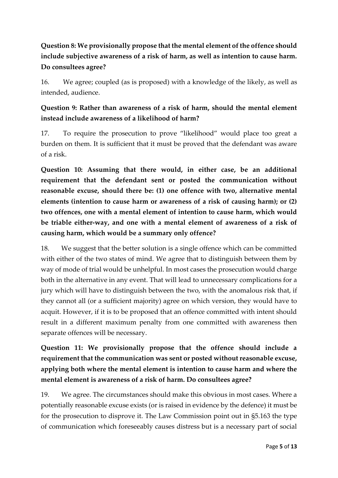# **Question 8: We provisionally propose that the mental element of the offence should include subjective awareness of a risk of harm, as well as intention to cause harm. Do consultees agree?**

16. We agree; coupled (as is proposed) with a knowledge of the likely, as well as intended, audience.

### **Question 9: Rather than awareness of a risk of harm, should the mental element instead include awareness of a likelihood of harm?**

17. To require the prosecution to prove "likelihood" would place too great a burden on them. It is sufficient that it must be proved that the defendant was aware of a risk.

**Question 10: Assuming that there would, in either case, be an additional requirement that the defendant sent or posted the communication without reasonable excuse, should there be: (1) one offence with two, alternative mental elements (intention to cause harm or awareness of a risk of causing harm); or (2) two offences, one with a mental element of intention to cause harm, which would be triable either-way, and one with a mental element of awareness of a risk of causing harm, which would be a summary only offence?** 

18. We suggest that the better solution is a single offence which can be committed with either of the two states of mind. We agree that to distinguish between them by way of mode of trial would be unhelpful. In most cases the prosecution would charge both in the alternative in any event. That will lead to unnecessary complications for a jury which will have to distinguish between the two, with the anomalous risk that, if they cannot all (or a sufficient majority) agree on which version, they would have to acquit. However, if it is to be proposed that an offence committed with intent should result in a different maximum penalty from one committed with awareness then separate offences will be necessary.

**Question 11: We provisionally propose that the offence should include a requirement that the communication was sent or posted without reasonable excuse, applying both where the mental element is intention to cause harm and where the mental element is awareness of a risk of harm. Do consultees agree?** 

19. We agree. The circumstances should make this obvious in most cases. Where a potentially reasonable excuse exists (or is raised in evidence by the defence) it must be for the prosecution to disprove it. The Law Commission point out in §5.163 the type of communication which foreseeably causes distress but is a necessary part of social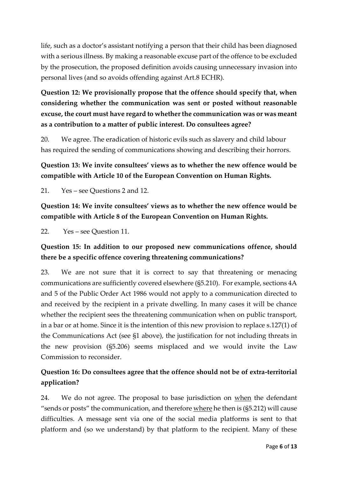life, such as a doctor's assistant notifying a person that their child has been diagnosed with a serious illness. By making a reasonable excuse part of the offence to be excluded by the prosecution, the proposed definition avoids causing unnecessary invasion into personal lives (and so avoids offending against Art.8 ECHR).

**Question 12: We provisionally propose that the offence should specify that, when considering whether the communication was sent or posted without reasonable excuse, the court must have regard to whether the communication was or was meant as a contribution to a matter of public interest. Do consultees agree?** 

20. We agree. The eradication of historic evils such as slavery and child labour has required the sending of communications showing and describing their horrors.

## **Question 13: We invite consultees' views as to whether the new offence would be compatible with Article 10 of the European Convention on Human Rights.**

21. Yes – see Questions 2 and 12.

**Question 14: We invite consultees' views as to whether the new offence would be compatible with Article 8 of the European Convention on Human Rights.** 

22. Yes – see Question 11.

#### **Question 15: In addition to our proposed new communications offence, should there be a specific offence covering threatening communications?**

23. We are not sure that it is correct to say that threatening or menacing communications are sufficiently covered elsewhere (§5.210). For example, sections 4A and 5 of the Public Order Act 1986 would not apply to a communication directed to and received by the recipient in a private dwelling. In many cases it will be chance whether the recipient sees the threatening communication when on public transport, in a bar or at home. Since it is the intention of this new provision to replace s.127(1) of the Communications Act (see §1 above), the justification for not including threats in the new provision (§5.206) seems misplaced and we would invite the Law Commission to reconsider.

#### **Question 16: Do consultees agree that the offence should not be of extra-territorial application?**

24. We do not agree. The proposal to base jurisdiction on when the defendant "sends or posts" the communication, and therefore where he then is (§5.212) will cause difficulties. A message sent via one of the social media platforms is sent to that platform and (so we understand) by that platform to the recipient. Many of these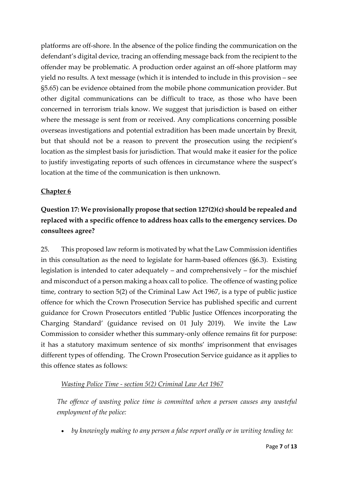platforms are off-shore. In the absence of the police finding the communication on the defendant's digital device, tracing an offending message back from the recipient to the offender may be problematic. A production order against an off-shore platform may yield no results. A text message (which it is intended to include in this provision – see §5.65) can be evidence obtained from the mobile phone communication provider. But other digital communications can be difficult to trace, as those who have been concerned in terrorism trials know. We suggest that jurisdiction is based on either where the message is sent from or received. Any complications concerning possible overseas investigations and potential extradition has been made uncertain by Brexit, but that should not be a reason to prevent the prosecution using the recipient's location as the simplest basis for jurisdiction. That would make it easier for the police to justify investigating reports of such offences in circumstance where the suspect's location at the time of the communication is then unknown.

#### **Chapter 6**

# **Question 17: We provisionally propose that section 127(2)(c) should be repealed and replaced with a specific offence to address hoax calls to the emergency services. Do consultees agree?**

25. This proposed law reform is motivated by what the Law Commission identifies in this consultation as the need to legislate for harm-based offences (§6.3). Existing legislation is intended to cater adequately – and comprehensively – for the mischief and misconduct of a person making a hoax call to police. The offence of wasting police time, contrary to section 5(2) of the Criminal Law Act 1967, is a type of public justice offence for which the Crown Prosecution Service has published specific and current guidance for Crown Prosecutors entitled 'Public Justice Offences incorporating the Charging Standard' (guidance revised on 01 July 2019). We invite the Law Commission to consider whether this summary-only offence remains fit for purpose: it has a statutory maximum sentence of six months' imprisonment that envisages different types of offending. The Crown Prosecution Service guidance as it applies to this offence states as follows:

#### *Wasting Police Time - section 5(2) Criminal Law Act 1967*

*The offence of wasting police time is committed when a person causes any wasteful employment of the police:*

• *by knowingly making to any person a false report orally or in writing tending to:*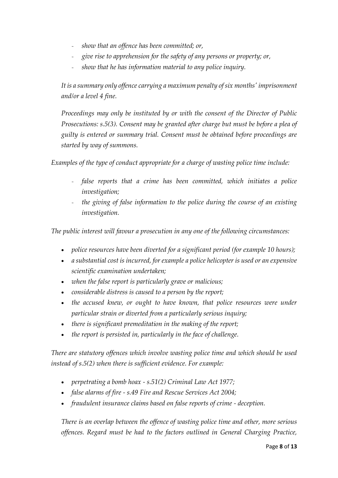- *show that an offence has been committed; or,*
- *give rise to apprehension for the safety of any persons or property; or,*
- *show that he has information material to any police inquiry.*

*It is a summary only offence carrying a maximum penalty of six months' imprisonment and/or a level 4 fine.*

*Proceedings may only be instituted by or with the consent of the Director of Public Prosecutions: s.5(3). Consent may be granted after charge but must be before a plea of guilty is entered or summary trial. Consent must be obtained before proceedings are started by way of summons.*

*Examples of the type of conduct appropriate for a charge of wasting police time include:*

- *false reports that a crime has been committed, which initiates a police investigation;*
- *the giving of false information to the police during the course of an existing investigation.*

*The public interest will favour a prosecution in any one of the following circumstances:*

- *police resources have been diverted for a significant period (for example 10 hours);*
- *a substantial cost is incurred, for example a police helicopter is used or an expensive scientific examination undertaken;*
- *when the false report is particularly grave or malicious;*
- *considerable distress is caused to a person by the report;*
- the accused knew, or ought to have known, that police resources were under *particular strain or diverted from a particularly serious inquiry;*
- *there is significant premeditation in the making of the report;*
- *the report is persisted in, particularly in the face of challenge.*

*There are statutory offences which involve wasting police time and which should be used instead of s.5(2) when there is sufficient evidence. For example:*

- *perpetrating a bomb hoax - s.51(2) Criminal Law Act 1977;*
- *false alarms of fire - s.49 Fire and Rescue Services Act 2004;*
- *fraudulent insurance claims based on false reports of crime - deception.*

*There is an overlap between the offence of wasting police time and other, more serious offences. Regard must be had to the factors outlined in General Charging Practice,*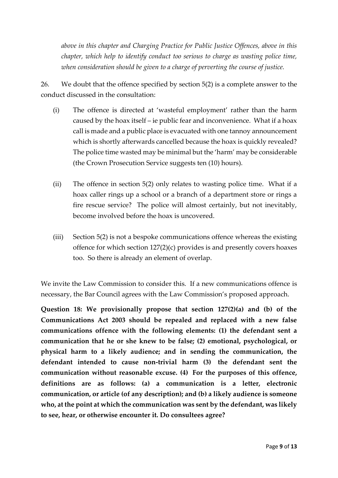*above in this chapter and Charging Practice for Public Justice Offences, above in this chapter, which help to identify conduct too serious to charge as wasting police time, when consideration should be given to a charge of perverting the course of justice.*

26. We doubt that the offence specified by section 5(2) is a complete answer to the conduct discussed in the consultation:

- (i) The offence is directed at 'wasteful employment' rather than the harm caused by the hoax itself – ie public fear and inconvenience. What if a hoax call is made and a public place is evacuated with one tannoy announcement which is shortly afterwards cancelled because the hoax is quickly revealed? The police time wasted may be minimal but the 'harm' may be considerable (the Crown Prosecution Service suggests ten (10) hours).
- (ii) The offence in section 5(2) only relates to wasting police time. What if a hoax caller rings up a school or a branch of a department store or rings a fire rescue service? The police will almost certainly, but not inevitably, become involved before the hoax is uncovered.
- (iii) Section 5(2) is not a bespoke communications offence whereas the existing offence for which section 127(2)(c) provides is and presently covers hoaxes too. So there is already an element of overlap.

We invite the Law Commission to consider this. If a new communications offence is necessary, the Bar Council agrees with the Law Commission's proposed approach.

**Question 18: We provisionally propose that section 127(2)(a) and (b) of the Communications Act 2003 should be repealed and replaced with a new false communications offence with the following elements: (1) the defendant sent a communication that he or she knew to be false; (2) emotional, psychological, or physical harm to a likely audience; and in sending the communication, the defendant intended to cause non-trivial harm (3) the defendant sent the communication without reasonable excuse. (4) For the purposes of this offence, definitions are as follows: (a) a communication is a letter, electronic communication, or article (of any description); and (b) a likely audience is someone who, at the point at which the communication was sent by the defendant, was likely to see, hear, or otherwise encounter it. Do consultees agree?**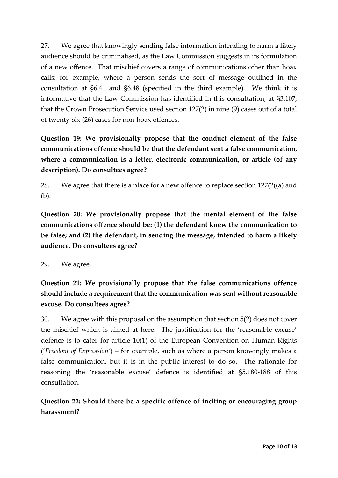27. We agree that knowingly sending false information intending to harm a likely audience should be criminalised, as the Law Commission suggests in its formulation of a new offence. That mischief covers a range of communications other than hoax calls: for example, where a person sends the sort of message outlined in the consultation at §6.41 and §6.48 (specified in the third example). We think it is informative that the Law Commission has identified in this consultation, at §3.107, that the Crown Prosecution Service used section 127(2) in nine (9) cases out of a total of twenty-six (26) cases for non-hoax offences.

**Question 19: We provisionally propose that the conduct element of the false communications offence should be that the defendant sent a false communication, where a communication is a letter, electronic communication, or article (of any description). Do consultees agree?** 

28. We agree that there is a place for a new offence to replace section 127(2((a) and (b).

**Question 20: We provisionally propose that the mental element of the false communications offence should be: (1) the defendant knew the communication to be false; and (2) the defendant, in sending the message, intended to harm a likely audience. Do consultees agree?** 

29. We agree.

**Question 21: We provisionally propose that the false communications offence should include a requirement that the communication was sent without reasonable excuse. Do consultees agree?** 

30. We agree with this proposal on the assumption that section 5(2) does not cover the mischief which is aimed at here. The justification for the 'reasonable excuse' defence is to cater for article 10(1) of the European Convention on Human Rights ('*Freedom of Expression'*) – for example, such as where a person knowingly makes a false communication, but it is in the public interest to do so. The rationale for reasoning the 'reasonable excuse' defence is identified at §5.180-188 of this consultation.

**Question 22: Should there be a specific offence of inciting or encouraging group harassment?**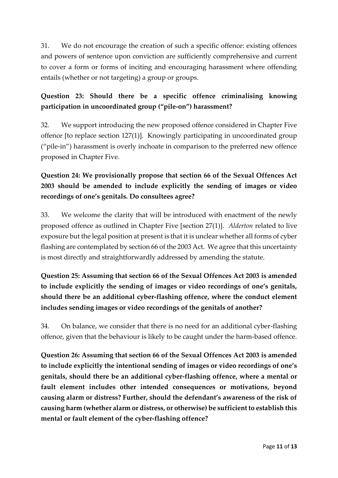31. We do not encourage the creation of such a specific offence: existing offences and powers of sentence upon conviction are sufficiently comprehensive and current to cover a form or forms of inciting and encouraging harassment where offending entails (whether or not targeting) a group or groups.

### **Question 23: Should there be a specific offence criminalising knowing participation in uncoordinated group ("pile-on") harassment?**

32. We support introducing the new proposed offence considered in Chapter Five offence [to replace section 127(1)]. Knowingly participating in uncoordinated group ("pile-in") harassment is overly inchoate in comparison to the preferred new offence proposed in Chapter Five.

# **Question 24: We provisionally propose that section 66 of the Sexual Offences Act 2003 should be amended to include explicitly the sending of images or video recordings of one's genitals. Do consultees agree?**

33. We welcome the clarity that will be introduced with enactment of the newly proposed offence as outlined in Chapter Five [section 27(1)]. *Alderton* related to live exposure but the legal position at present is that it is unclear whether all forms of cyber flashing are contemplated by section 66 of the 2003 Act. We agree that this uncertainty is most directly and straightforwardly addressed by amending the statute.

# **Question 25: Assuming that section 66 of the Sexual Offences Act 2003 is amended to include explicitly the sending of images or video recordings of one's genitals, should there be an additional cyber-flashing offence, where the conduct element includes sending images or video recordings of the genitals of another?**

34. On balance, we consider that there is no need for an additional cyber-flashing offence, given that the behaviour is likely to be caught under the harm-based offence.

**Question 26: Assuming that section 66 of the Sexual Offences Act 2003 is amended to include explicitly the intentional sending of images or video recordings of one's genitals, should there be an additional cyber-flashing offence, where a mental or fault element includes other intended consequences or motivations, beyond causing alarm or distress? Further, should the defendant's awareness of the risk of causing harm (whether alarm or distress, or otherwise) be sufficient to establish this mental or fault element of the cyber-flashing offence?**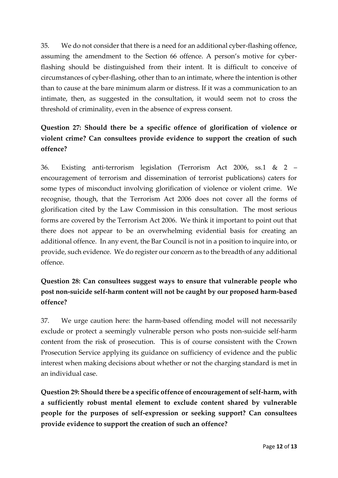35. We do not consider that there is a need for an additional cyber-flashing offence, assuming the amendment to the Section 66 offence. A person's motive for cyberflashing should be distinguished from their intent. It is difficult to conceive of circumstances of cyber-flashing, other than to an intimate, where the intention is other than to cause at the bare minimum alarm or distress. If it was a communication to an intimate, then, as suggested in the consultation, it would seem not to cross the threshold of criminality, even in the absence of express consent.

# **Question 27: Should there be a specific offence of glorification of violence or violent crime? Can consultees provide evidence to support the creation of such offence?**

36. Existing anti-terrorism legislation (Terrorism Act 2006, ss.1 & 2 – encouragement of terrorism and dissemination of terrorist publications) caters for some types of misconduct involving glorification of violence or violent crime. We recognise, though, that the Terrorism Act 2006 does not cover all the forms of glorification cited by the Law Commission in this consultation. The most serious forms are covered by the Terrorism Act 2006. We think it important to point out that there does not appear to be an overwhelming evidential basis for creating an additional offence. In any event, the Bar Council is not in a position to inquire into, or provide, such evidence. We do register our concern as to the breadth of any additional offence.

# **Question 28: Can consultees suggest ways to ensure that vulnerable people who post non-suicide self-harm content will not be caught by our proposed harm-based offence?**

37. We urge caution here: the harm-based offending model will not necessarily exclude or protect a seemingly vulnerable person who posts non-suicide self-harm content from the risk of prosecution. This is of course consistent with the Crown Prosecution Service applying its guidance on sufficiency of evidence and the public interest when making decisions about whether or not the charging standard is met in an individual case.

**Question 29: Should there be a specific offence of encouragement of self-harm, with a sufficiently robust mental element to exclude content shared by vulnerable people for the purposes of self-expression or seeking support? Can consultees provide evidence to support the creation of such an offence?**